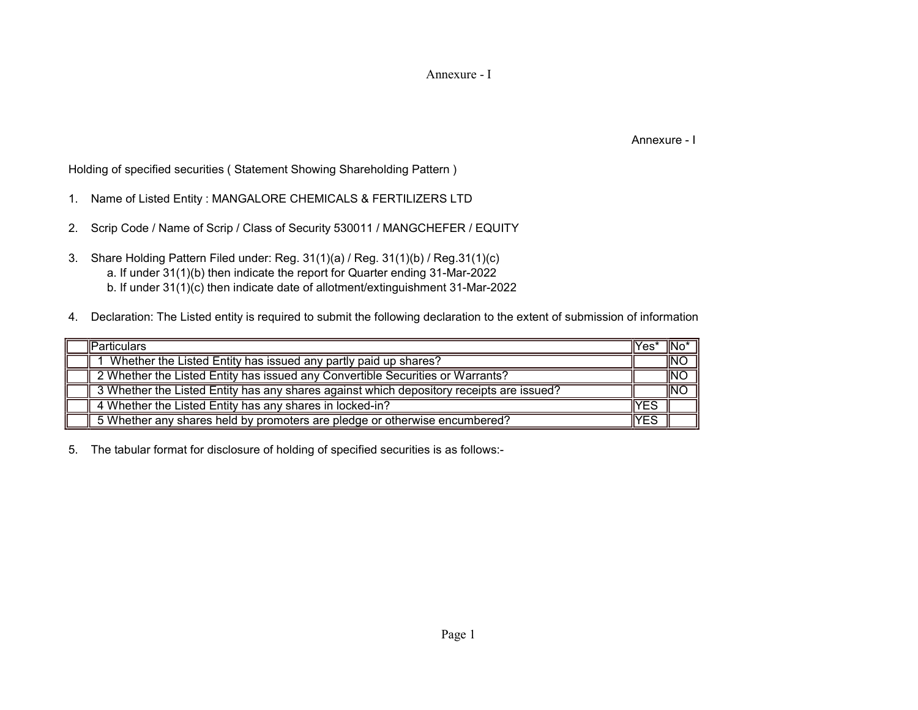Annexure - I

Annexure - I

Holding of specified securities ( Statement Showing Shareholding Pattern )

- 1. Name of Listed Entity : MANGALORE CHEMICALS & FERTILIZERS LTD
- 2. Scrip Code / Name of Scrip / Class of Security 530011 / MANGCHEFER / EQUITY
- 3. Share Holding Pattern Filed under: Reg. 31(1)(a) / Reg. 31(1)(b) / Reg.31(1)(c) a. If under 31(1)(b) then indicate the report for Quarter ending 31-Mar-2022 b. If under 31(1)(c) then indicate date of allotment/extinguishment 31-Mar-2022
- 4. Declaration: The Listed entity is required to submit the following declaration to the extent of submission of information:-

| <b>IParticulars</b>                                                                      | $ Yes^*$ | ¶No* |
|------------------------------------------------------------------------------------------|----------|------|
| Whether the Listed Entity has issued any partly paid up shares?                          |          | INO  |
| 2 Whether the Listed Entity has issued any Convertible Securities or Warrants?           |          | INO  |
| 3 Whether the Listed Entity has any shares against which depository receipts are issued? |          | INO  |
| 4 Whether the Listed Entity has any shares in locked-in?                                 | 'YES     |      |
| 5 Whether any shares held by promoters are pledge or otherwise encumbered?               | YES      |      |

5. The tabular format for disclosure of holding of specified securities is as follows:-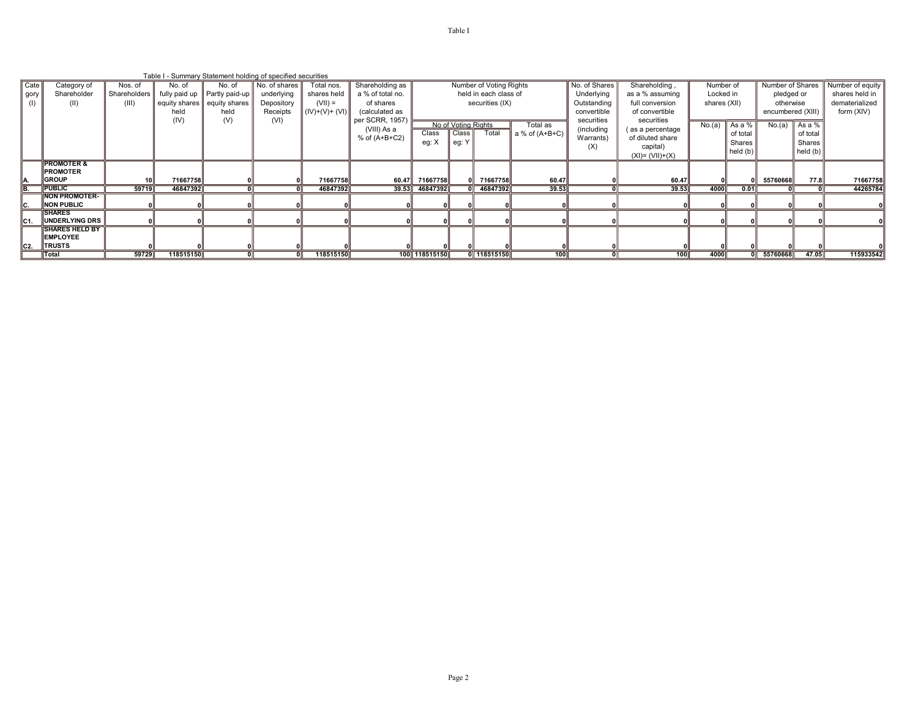|      |                        |                 |           | Table I - Summary Statement holding of specified securities |               |                 |                   |                |                       |                         |                  |               |                            |              |                  |                   |                  |                |
|------|------------------------|-----------------|-----------|-------------------------------------------------------------|---------------|-----------------|-------------------|----------------|-----------------------|-------------------------|------------------|---------------|----------------------------|--------------|------------------|-------------------|------------------|----------------|
| Cate | Category of            | Nos. of         | No. of    | No. of                                                      | No. of shares | Total nos.      | Shareholding as   |                |                       | Number of Voting Rights |                  | No. of Shares | Shareholding,<br>Number of |              | Number of Shares |                   | Number of equity |                |
| gory | Shareholder            | Shareholders    |           | fully paid up   Partly paid-up                              | underlying    | shares held     | a % of total no.  |                | held in each class of |                         |                  | Underlying    | as a % assuming            | Locked in    |                  | pledged or        |                  | shares held in |
| (1)  | (II)                   | (III)           |           | equity shares   equity shares                               | Depository    | $(VII) =$       | of shares         |                | securities (IX)       |                         |                  | Outstanding   | full conversion            | shares (XII) |                  | otherwise         |                  | dematerialized |
|      |                        |                 | held      | held                                                        | Receipts      | $(IV)+(V)+(VI)$ | (calculated as    |                |                       |                         |                  | convertible   | of convertible             |              |                  | encumbered (XIII) |                  | form (XIV)     |
|      |                        |                 | (IV)      | (V)                                                         | (VI)          |                 | per SCRR, 1957)   |                | No of Voting Rights   |                         |                  | securities    | securities                 |              |                  |                   |                  |                |
|      |                        |                 |           |                                                             |               |                 | (VIII) As a       |                |                       |                         | Total as         | (including    | (as a percentage           | No.(a)       | Asa%             | No.(a)            | As a %           |                |
|      |                        |                 |           |                                                             |               |                 | $%$ of $(A+B+C2)$ | Class          | Class                 | Total                   | a % of $(A+B+C)$ | Warrants)     | of diluted share           |              | of total         |                   | of total         |                |
|      |                        |                 |           |                                                             |               |                 |                   | eg: X          | eg: Y                 |                         |                  | (X)           | capital)                   |              | Shares           |                   | Shares           |                |
|      |                        |                 |           |                                                             |               |                 |                   |                |                       |                         |                  |               | $(XI) = (VII)+(X)$         |              | $ $ held (b)     |                   | held (b)         |                |
|      | <b>IPROMOTER &amp;</b> |                 |           |                                                             |               |                 |                   |                |                       |                         |                  |               |                            |              |                  |                   |                  |                |
|      | <b>PROMOTER</b>        |                 |           |                                                             |               |                 |                   |                |                       |                         |                  |               |                            |              |                  |                   |                  |                |
|      | <b>GROUP</b>           | 10 <sub>h</sub> | 71667758  |                                                             |               | 71667758        | 60.47             | 71667758       |                       | 71667758                | 60.47            |               | 60.47                      |              |                  | 55760668          | 77.8             | 71667758       |
| B.   | <b>IPUBLIC</b>         | 59719           | 46847392  |                                                             |               | 46847392        |                   | 39.53 46847392 |                       | 0 46847392              | 39.53            |               | 39.53                      | 4000         | 0.01             |                   |                  | 44265784       |
|      | <b>INON PROMOTER-</b>  |                 |           |                                                             |               |                 |                   |                |                       |                         |                  |               |                            |              |                  |                   |                  |                |
| IC.  | <b>NON PUBLIC</b>      |                 |           |                                                             |               |                 |                   |                |                       |                         |                  |               |                            |              |                  |                   |                  |                |
|      | <b>SHARES</b>          |                 |           |                                                             |               |                 |                   |                |                       |                         |                  |               |                            |              |                  |                   |                  |                |
| IC1. | UNDERLYING DRS         |                 |           |                                                             |               |                 |                   |                |                       |                         |                  |               |                            |              |                  |                   |                  |                |
|      | <b>ISHARES HELD BY</b> |                 |           |                                                             |               |                 |                   |                |                       |                         |                  |               |                            |              |                  |                   |                  |                |
|      | <b>EMPLOYEE</b>        |                 |           |                                                             |               |                 |                   |                |                       |                         |                  |               |                            |              |                  |                   |                  |                |
| IC2. | <b>TRUSTS</b>          |                 |           |                                                             |               |                 |                   |                |                       |                         |                  |               |                            |              |                  |                   |                  |                |
|      | <b>Total</b>           | 59729           | 118515150 |                                                             |               | 118515150       |                   | 100 118515150  |                       | 0 118515150             | 100              |               | 100                        | 4000         |                  | 55760668          | 47.05            | 115933542      |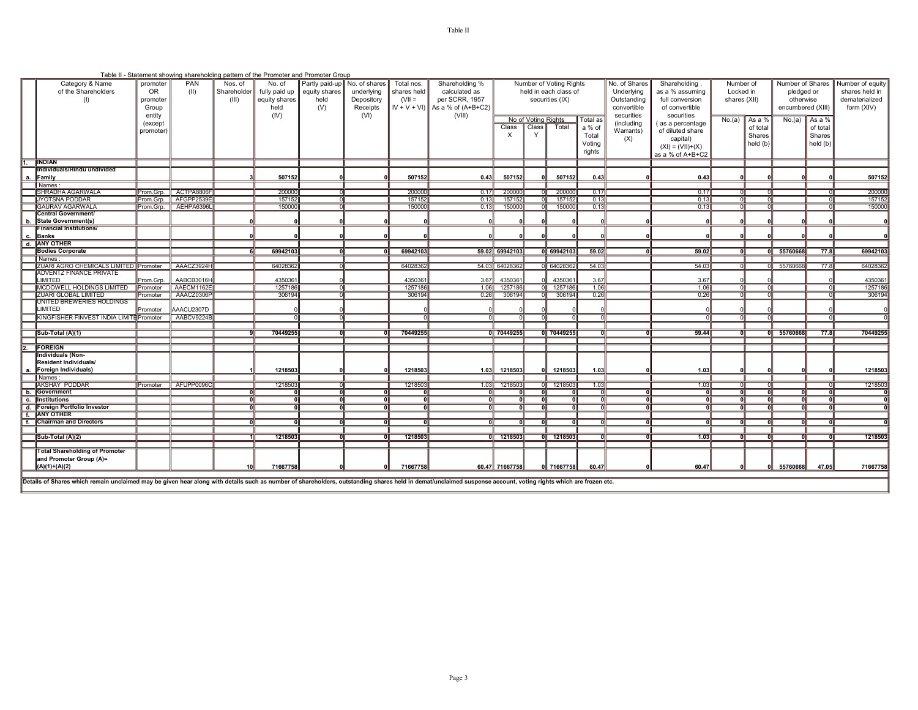|                                                 |           |            |                 |                   | Table II - Statement showing shareholding pattern of the Promoter and Promoter Group |            |             |                                    |                               |                     |                         |          |                |                                 |                |              |                   |                |                  |
|-------------------------------------------------|-----------|------------|-----------------|-------------------|--------------------------------------------------------------------------------------|------------|-------------|------------------------------------|-------------------------------|---------------------|-------------------------|----------|----------------|---------------------------------|----------------|--------------|-------------------|----------------|------------------|
| Category & Name                                 | promoter  | <b>PAN</b> | Nos. of         | No. of            | Partly paid-up No. of shares                                                         |            | Total nos.  | Shareholding %                     |                               |                     | Number of Voting Rights |          | No. of Shares  | Shareholding                    | Number of      |              | Number of Shares  |                | Number of equity |
| of the Shareholders                             | <b>OR</b> | (II)       | Shareholder     | fully paid up     | equity shares                                                                        | underlying | shares held | calculated as                      |                               |                     | held in each class of   |          | Underlying     | Locked in<br>as a % assuming    |                | pledged or   |                   | shares held in |                  |
| (1)                                             | promoter  |            | (III)           | equity shares     | held                                                                                 | Depository | $(VII =$    | per SCRR, 1957                     |                               |                     | securities (IX)         |          | Outstanding    | full conversion<br>shares (XII) |                | otherwise    |                   | dematerialized |                  |
|                                                 | Group     |            |                 | held              | (V)                                                                                  | Receipts   |             | $ V + V + V $ ) As a % of (A+B+C2) |                               |                     |                         |          | convertible    | of convertible                  |                |              | encumbered (XIII) |                | form (XIV)       |
|                                                 | entity    |            |                 | (IV)              |                                                                                      | (VI)       |             | (VIII)                             |                               |                     |                         |          | securities     | securities                      |                |              |                   |                |                  |
|                                                 | (except   |            |                 |                   |                                                                                      |            |             |                                    |                               | No of Voting Rights |                         | Total as | (including     | (as a percentage                | No.(a)         | As a %       | No.(a)            | As a %         |                  |
|                                                 |           |            |                 |                   |                                                                                      |            |             |                                    | Class                         | Class <sup>1</sup>  | Total                   | a % of   | Warrants)      | of diluted share                |                | of total     |                   | of total       |                  |
|                                                 | promoter) |            |                 |                   |                                                                                      |            |             |                                    | X                             |                     |                         | Total    |                |                                 |                | Shares       |                   | Shares         |                  |
|                                                 |           |            |                 |                   |                                                                                      |            |             |                                    |                               |                     |                         | Voting   | (X)            | capital)                        |                | held (b)     |                   | held (b)       |                  |
|                                                 |           |            |                 |                   |                                                                                      |            |             |                                    |                               |                     |                         | rights   |                | $(XI) = (VII)+(X)$              |                |              |                   |                |                  |
|                                                 |           |            |                 |                   |                                                                                      |            |             |                                    |                               |                     |                         |          |                | as a % of A+B+C2                |                |              |                   |                |                  |
| <b>INDIAN</b>                                   |           |            |                 |                   |                                                                                      |            |             |                                    |                               |                     |                         |          |                |                                 |                |              |                   |                |                  |
| Individuals/Hindu undivided                     |           |            |                 |                   |                                                                                      |            |             |                                    |                               |                     |                         |          |                |                                 |                |              |                   |                |                  |
| <b>IFamily</b>                                  |           |            |                 | 507152            |                                                                                      |            | 507152      | 0.43                               | 507152                        |                     | 507152                  | 0.43     |                | 0.43                            |                |              |                   |                | 507152           |
| Names                                           |           |            |                 |                   |                                                                                      |            |             |                                    |                               |                     |                         |          |                |                                 |                |              |                   |                |                  |
| SHRADHA AGARWALA                                | Prom.Grp. | ACTPA8806F |                 | 200000            |                                                                                      |            | 200000      | 0.17                               | 200000                        |                     | 200000                  | 0.17     |                | 0.17                            |                |              |                   |                | 200000           |
| <b>JYOTSNA PODDAR</b>                           | Prom.Grp. | AFGPP2539E |                 | 157152            |                                                                                      |            | 157152      | 0.13                               | 157152                        |                     | 157152                  | 0.13     |                | 0.13                            |                |              |                   |                | 157152           |
| <b>GAURAV AGARWALA</b>                          | Prom.Grp. | AEHPA6396L |                 | 150000            |                                                                                      |            | 150000      | 0.13                               | 150000                        | ா                   | 150000                  | 0.13     |                | 0.13                            | ∩ll            | ∩l           |                   |                | 150000           |
| <b>Central Government/</b>                      |           |            |                 |                   |                                                                                      |            |             |                                    |                               |                     |                         |          |                |                                 |                |              |                   |                |                  |
| <b>State Government(s)</b>                      |           |            |                 |                   |                                                                                      |            |             |                                    |                               |                     |                         |          |                |                                 |                |              |                   |                |                  |
| <b>Financial Institutions/</b>                  |           |            |                 |                   |                                                                                      |            |             |                                    |                               |                     |                         |          |                |                                 |                |              |                   |                |                  |
| c. IBanks                                       |           |            |                 |                   |                                                                                      |            |             |                                    |                               |                     |                         |          |                |                                 |                |              |                   |                |                  |
| d. ANY OTHER                                    |           |            |                 |                   |                                                                                      |            |             |                                    |                               |                     |                         |          |                |                                 |                |              |                   |                |                  |
| <b>Bodies Corporate</b>                         |           |            |                 | 69942103          |                                                                                      |            | 69942103    |                                    | 59.02 69942103                |                     | 0 69942103              | 59.02    | ᆔ              | 59.02                           | oll            |              | 0 55760668        | 77.8           | 69942103         |
| Names                                           |           |            |                 |                   |                                                                                      |            |             |                                    |                               |                     |                         |          |                |                                 |                |              |                   |                |                  |
| <b>IZUARI AGRO CHEMICALS LIMITED IPromoter</b>  |           | AAACZ3924H |                 | 64028362          |                                                                                      |            | 64028362    |                                    | 54.03 64028362                |                     | 0 64028362              | 54.03    |                | 54.03                           | ΩII            |              | 0 55760668        | 77.8           | 64028362         |
| <b>ADVENTZ FINANCE PRIVATE</b><br><b>IMITED</b> | Prom Grp. | AABCB3016H |                 | 4350361           |                                                                                      |            | 435036      | 3.67                               | 4350361                       |                     | 4350361                 | 3.67     |                | 3.67                            |                |              |                   |                | 435036           |
| MCDOWELL HOLDINGS LIMITED Promoter              |           | AAECM1162E |                 |                   |                                                                                      |            | 1257186     |                                    |                               |                     |                         | 1.06     |                | 1.06                            | ωII            |              |                   |                | 1257186          |
| <b>ZUARI GLOBAL LIMITED</b>                     | Promoter  | AAACZ0306P |                 | 1257186<br>306194 |                                                                                      |            | 306194      |                                    | 1.06 1257186<br>$0.26$ 306194 |                     | 0 1257186<br>0 306194   | 0.26     |                | 0.26                            | $\Omega$       |              |                   | 고              | 306194           |
| UNITED BREWERIES HOLDINGS                       |           |            |                 |                   |                                                                                      |            |             |                                    |                               |                     |                         |          |                |                                 |                |              |                   |                |                  |
| LIMITED                                         | Promoter  | AAACU2307D |                 |                   |                                                                                      |            |             |                                    |                               |                     |                         |          |                |                                 |                |              |                   |                |                  |
| KINGFISHER FINVEST INDIA LIMITE Promoter        |           | AABCV9224B |                 |                   |                                                                                      |            |             |                                    |                               | ╖                   | nl                      |          |                | ΩI                              | $\overline{0}$ |              |                   |                |                  |
|                                                 |           |            |                 |                   |                                                                                      |            |             |                                    |                               |                     |                         |          |                |                                 |                |              |                   |                |                  |
| Sub-Total (A)(1)                                |           |            |                 |                   |                                                                                      |            |             |                                    |                               |                     |                         |          |                |                                 |                |              |                   |                |                  |
|                                                 |           |            |                 | 70449255          |                                                                                      |            | 70449255    |                                    | 0 70449255                    |                     | 0 70449255              |          |                | 59.44                           | n١Ι            |              | $0$ 55760668      | 77.8           | 70449255         |
| <b>IFOREIGN</b>                                 |           |            |                 |                   |                                                                                      |            |             |                                    |                               |                     |                         |          |                |                                 |                |              |                   |                |                  |
| <b>Individuals (Non-</b>                        |           |            |                 |                   |                                                                                      |            |             |                                    |                               |                     |                         |          |                |                                 |                |              |                   |                |                  |
| Resident Individuals/                           |           |            |                 |                   |                                                                                      |            |             |                                    |                               |                     |                         |          |                |                                 |                |              |                   |                |                  |
| a. Foreign Individuals)                         |           |            |                 | 1218503           |                                                                                      |            | 1218503     |                                    | 1.03 1218503                  | ΩI                  | 1218503                 | 1.03     |                | 1.03                            |                |              |                   |                | 1218503          |
| Names:                                          |           |            |                 |                   |                                                                                      |            |             |                                    |                               |                     |                         |          |                |                                 |                |              |                   |                |                  |
| <b>AKSHAY PODDAR</b>                            | Promoter  | AFUPP0096C |                 | 1218503           |                                                                                      |            | 1218503     |                                    | 1.03 1218503                  |                     | 0 1218503               | 1.03     |                | 1.03                            | ொ              |              |                   |                | 1218503          |
| b. Government                                   |           |            | 0ll             |                   | nl                                                                                   | n          | $\Omega$    | - Oll                              | ΩI                            | oll                 | ΩI                      | - Oll    | 0II            | $\overline{\mathbf{0}}$         | 0              | oll          | 0ll               | oll            |                  |
| c. Institutions                                 |           |            |                 |                   |                                                                                      |            |             | ٥I                                 |                               | nl                  | ΩI                      |          | nl             | ᇭ                               | oГ             | $\mathbf{0}$ |                   | 0l             |                  |
| d. Foreign Portfolio Investor                   |           |            |                 |                   |                                                                                      |            |             | ᇭ                                  |                               | ता                  |                         |          |                | ता                              | oll            |              |                   |                |                  |
| f. ANY OTHER                                    |           |            |                 |                   |                                                                                      |            |             |                                    |                               |                     |                         |          |                |                                 |                |              |                   |                |                  |
| f. Chairman and Directors                       |           |            |                 |                   |                                                                                      |            |             |                                    |                               |                     |                         |          |                | πI                              |                |              |                   |                |                  |
|                                                 |           |            |                 |                   |                                                                                      |            |             |                                    |                               |                     |                         |          |                |                                 |                |              |                   |                |                  |
| $ Sub-Total(A)(2) $                             |           |            |                 | 1218503           |                                                                                      | oll        | 1218503     |                                    | 0 1218503                     |                     | $0$ 1218503             |          | $\overline{0}$ | 1.03                            | n۱۱            | $\Omega$     |                   | nl             | 1218503          |
|                                                 |           |            |                 |                   |                                                                                      |            |             |                                    |                               |                     |                         |          |                |                                 |                |              |                   |                |                  |
| <b>Total Shareholding of Promoter</b>           |           |            |                 |                   |                                                                                      |            |             |                                    |                               |                     |                         |          |                |                                 |                |              |                   |                |                  |
| and Promoter Group (A)=                         |           |            |                 |                   |                                                                                      |            |             |                                    |                               |                     |                         |          |                |                                 |                |              |                   |                |                  |
| $(A)(1)+(A)(2)$                                 |           |            | 10 <sup>1</sup> | 71667758          |                                                                                      |            | 71667758    |                                    | 60.47 71667758                |                     | 0 71667758              | 60.47    |                | 60.47                           |                |              | 55760668          | 47.05          | 71667758         |
|                                                 |           |            |                 |                   |                                                                                      |            |             |                                    |                               |                     |                         |          |                |                                 |                |              |                   |                |                  |
|                                                 |           |            |                 |                   |                                                                                      |            |             |                                    |                               |                     |                         |          |                |                                 |                |              |                   |                |                  |

ails of Shares which remain unclaimed may be given hear along with details such as number of shareholders, outstanding shares held in demat/unclaimed suspense account, voting rights which are frozen etc.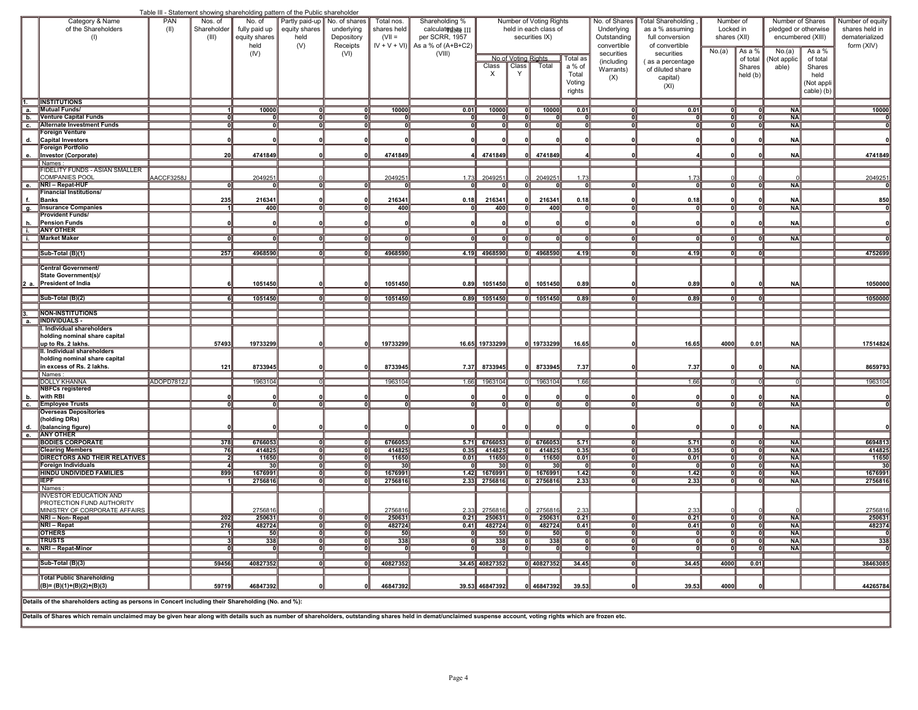|    |                                                                                                                                                                                                                |            |                                |                       | Table III - Statement showing shareholding pattern of the Public shareholder |                         |                 |                                                      |                 |                                       |                                                         |                           |                                   |              |                                 |                                        |                |                                  |
|----|----------------------------------------------------------------------------------------------------------------------------------------------------------------------------------------------------------------|------------|--------------------------------|-----------------------|------------------------------------------------------------------------------|-------------------------|-----------------|------------------------------------------------------|-----------------|---------------------------------------|---------------------------------------------------------|---------------------------|-----------------------------------|--------------|---------------------------------|----------------------------------------|----------------|----------------------------------|
|    | Category & Name                                                                                                                                                                                                | PAN        | Nos. of                        | No. of                | Partly paid-up   No. of shares                                               |                         | Total nos.      | Shareholding %                                       |                 | Number of Voting Rights               |                                                         | No. of Shares             | <b>Total Shareholding</b>         | Number of    |                                 | Number of Shares                       |                | Number of equity                 |
|    | of the Shareholders                                                                                                                                                                                            | (II)       | Shareholder                    | fully paid up         | equity shares                                                                | underlying              | shares held     | calculatedide III                                    |                 | held in each class of                 |                                                         | Underlying<br>Outstanding | as a % assuming                   | Locked in    |                                 | pledged or otherwise                   |                | shares held in<br>dematerialized |
|    | (1)                                                                                                                                                                                                            |            | (III)                          | equity shares<br>held | held<br>(V)                                                                  | Depository<br>Receipts  | $(VII =$        | per SCRR, 1957<br>$ V + V + V $ ] As a % of (A+B+C2) |                 | securities IX)                        |                                                         | convertible               | full conversion<br>of convertible | shares (XII) |                                 | encumbered (XIII)                      |                | form (XIV)                       |
|    |                                                                                                                                                                                                                |            |                                | (IV)                  |                                                                              | (VI)                    |                 | (VIII)                                               |                 |                                       |                                                         | securities                | securities                        | No.(a)       | As a %                          | No.(a)                                 | As a %         |                                  |
|    |                                                                                                                                                                                                                |            |                                |                       |                                                                              |                         |                 |                                                      | Class           | No of Voting Rights<br>Class<br>Total | Total as<br>a % of                                      | (including                | as a percentage                   |              | of total<br>Shares              | Not applic                             | of total       |                                  |
|    |                                                                                                                                                                                                                |            |                                |                       |                                                                              |                         |                 |                                                      | X               |                                       | Total                                                   | Warrants)                 | of diluted share                  |              | held (b)                        | able)                                  | Shares<br>held |                                  |
|    |                                                                                                                                                                                                                |            |                                |                       |                                                                              |                         |                 |                                                      |                 |                                       | Voting                                                  | (X)                       | capital)<br>(XI)                  |              |                                 |                                        | (Not appli     |                                  |
|    |                                                                                                                                                                                                                |            |                                |                       |                                                                              |                         |                 |                                                      |                 |                                       | rights                                                  |                           |                                   |              |                                 |                                        | cable) (b)     |                                  |
| 1. | <b>INSTITUTIONS</b>                                                                                                                                                                                            |            |                                |                       |                                                                              |                         |                 |                                                      |                 |                                       |                                                         |                           |                                   |              |                                 |                                        |                |                                  |
|    | a. Mutual Funds/                                                                                                                                                                                               |            |                                | 10000                 | οl                                                                           | ٥l                      | 10000           | 0.01                                                 | 10000           | 10000<br>0                            | 0.01                                                    | $\overline{\mathbf{0}}$   | 0.01                              |              | -01                             | <b>NA</b>                              |                | 10000                            |
|    | b. Venture Capital Funds<br>c. Alternate Investment Funds                                                                                                                                                      |            | 0<br>गा                        | $\Omega$<br>ण         | ٥l<br>गा                                                                     | ٥ll<br>ण                | កា              | $\mathbf{0}$<br>ᆒ                                    | οl<br>ா         | 0 II<br>ᇭ                             | n۱۱<br>οll<br>ण<br>ᇭ                                    | Οll<br>वा                 | οll<br>ग                          | o۱Ι<br>त॥    | ٥l<br>ण                         | <b>NA</b><br>$N_A$                     |                |                                  |
|    | <b>Foreign Venture</b>                                                                                                                                                                                         |            |                                |                       |                                                                              |                         |                 |                                                      |                 |                                       |                                                         |                           |                                   |              |                                 |                                        |                |                                  |
|    | d. Capital Investors                                                                                                                                                                                           |            |                                |                       |                                                                              |                         |                 |                                                      |                 |                                       |                                                         |                           |                                   |              |                                 | <b>NA</b>                              |                |                                  |
| е. | <b>Foreign Portfolio</b><br>Investor (Corporate)                                                                                                                                                               |            | 20                             | 4741849               |                                                                              |                         | 4741849         |                                                      | 4741849         | 4741849                               |                                                         |                           |                                   |              |                                 | <b>NA</b>                              |                | 4741849                          |
|    | Names:                                                                                                                                                                                                         |            |                                |                       |                                                                              |                         |                 |                                                      |                 |                                       |                                                         |                           |                                   |              |                                 |                                        |                |                                  |
|    | <b>FIDELITY FUNDS - ASIAN SMALLER</b>                                                                                                                                                                          |            |                                |                       |                                                                              |                         |                 |                                                      |                 |                                       |                                                         |                           |                                   |              |                                 |                                        |                |                                  |
|    | <b>COMPANIES POOL</b><br>$\overline{e.}$ NRI - Repat-HUF                                                                                                                                                       | AACCF3258J | $\overline{0}$                 | 2049251               | 히                                                                            |                         | 204925          | 1.73<br>$\overline{0}$                               | 2049251         | 2049251<br>ᇭ                          | 1.73<br>ᇭ                                               |                           | 1.73<br>ᅁ                         |              | ᇚ                               | $N_A$                                  |                | 2049251                          |
|    | <b>Financial Institutions/</b>                                                                                                                                                                                 |            |                                |                       |                                                                              |                         |                 |                                                      |                 |                                       |                                                         |                           |                                   |              |                                 |                                        |                |                                  |
|    | Banks                                                                                                                                                                                                          |            | 235                            | 216341                |                                                                              |                         | 216341          | 0.18                                                 | 216341          | 216341<br>οl                          | 0.18                                                    |                           | 0.18                              |              |                                 | <b>NA</b>                              |                | 850                              |
|    | g. Insurance Companies<br><b>Provident Funds/</b>                                                                                                                                                              |            |                                | 400                   | 0l                                                                           | n۱۱                     | 400             | $\Omega$                                             | 400             | ᇭ<br>400                              | οll                                                     | ΩII                       | οll                               | o۱Ι          | Ωl                              | <b>NA</b>                              |                |                                  |
|    | Pension Funds                                                                                                                                                                                                  |            |                                |                       |                                                                              |                         |                 |                                                      |                 | n                                     |                                                         |                           | 0                                 |              |                                 | <b>NA</b>                              |                |                                  |
|    | i. ANY OTHER                                                                                                                                                                                                   |            |                                |                       |                                                                              |                         |                 |                                                      |                 |                                       |                                                         |                           |                                   |              |                                 |                                        |                |                                  |
|    | i. Market Maker                                                                                                                                                                                                |            |                                |                       |                                                                              |                         |                 |                                                      |                 |                                       | O                                                       |                           | 0l                                |              |                                 | <b>NA</b>                              |                |                                  |
|    | Sub-Total (B)(1)                                                                                                                                                                                               |            | 257                            | 4968590               | ា                                                                            | $\overline{\mathbf{0}}$ | 4968590         |                                                      | 4.19 4968590    | $0$ 4968590                           | 4.19                                                    | ᇭ                         | 4.19                              | តា           | o                               |                                        |                | 4752699                          |
|    |                                                                                                                                                                                                                |            |                                |                       |                                                                              |                         |                 |                                                      |                 |                                       |                                                         |                           |                                   |              |                                 |                                        |                |                                  |
|    | <b>Central Government/</b><br>State Government(s)/                                                                                                                                                             |            |                                |                       |                                                                              |                         |                 |                                                      |                 |                                       |                                                         |                           |                                   |              |                                 |                                        |                |                                  |
|    | 2 a. President of India                                                                                                                                                                                        |            |                                | 1051450               |                                                                              |                         | 1051450         | 0.89                                                 | 1051450         | 0 1051450                             | 0.89                                                    |                           | 0.89                              |              |                                 | NA                                     |                | 1050000                          |
|    |                                                                                                                                                                                                                |            |                                |                       |                                                                              |                         |                 |                                                      |                 |                                       |                                                         |                           |                                   |              |                                 |                                        |                |                                  |
|    | Sub-Total (B)(2)                                                                                                                                                                                               |            |                                | 1051450               |                                                                              | ்⊓                      | 1051450         |                                                      | $0.89$ 1051450  | $0$ 1051450                           | 0.89                                                    |                           | 0.89                              |              |                                 |                                        |                | 1050000                          |
|    | <b>NON-INSTITUTIONS</b>                                                                                                                                                                                        |            |                                |                       |                                                                              |                         |                 |                                                      |                 |                                       |                                                         |                           |                                   |              |                                 |                                        |                |                                  |
|    | a. <b>INDIVIDUALS</b>                                                                                                                                                                                          |            |                                |                       |                                                                              |                         |                 |                                                      |                 |                                       |                                                         |                           |                                   |              |                                 |                                        |                |                                  |
|    | I. Individual shareholders<br>holding nominal share capital                                                                                                                                                    |            |                                |                       |                                                                              |                         |                 |                                                      |                 |                                       |                                                         |                           |                                   |              |                                 |                                        |                |                                  |
|    | up to Rs. 2 lakhs.                                                                                                                                                                                             |            | 57493                          | 19733299              |                                                                              |                         | 19733299        |                                                      | 16.65 19733299  | 0 19733299                            | 16.65                                                   |                           | 16.65                             | 4000         | 0.01                            | <b>NA</b>                              |                | 17514824                         |
|    | II. Individual shareholders                                                                                                                                                                                    |            |                                |                       |                                                                              |                         |                 |                                                      |                 |                                       |                                                         |                           |                                   |              |                                 |                                        |                |                                  |
|    | holding nominal share capital<br>in excess of Rs. 2 lakhs.                                                                                                                                                     |            | 121                            | 8733945               |                                                                              |                         | 8733945         | 7.37                                                 | 8733945         | 8733945<br>ΩII                        | 7.37                                                    |                           | 7.37                              |              |                                 | <b>NA</b>                              |                | 8659793                          |
|    | Names                                                                                                                                                                                                          |            |                                |                       |                                                                              |                         |                 |                                                      |                 |                                       |                                                         |                           |                                   |              |                                 |                                        |                |                                  |
|    | <b>DOLLY KHANNA</b>                                                                                                                                                                                            | ADOPD7812J |                                | 1963104               |                                                                              |                         | 1963104         |                                                      | 1.66 1963104    | 0 1963104                             | 1.66                                                    |                           | 1.66                              |              |                                 |                                        |                | 1963104                          |
| b. | <b>NBFCs registered</b><br>with RBI                                                                                                                                                                            |            |                                |                       |                                                                              |                         |                 |                                                      |                 |                                       |                                                         |                           |                                   |              |                                 | <b>NA</b>                              |                |                                  |
|    | c. Employee Trusts                                                                                                                                                                                             |            | $\overline{0}$                 | ol                    | $\overline{0}$                                                               | οll                     | 0               | - Ol                                                 | οll             | ᇭ                                     | ᇭ<br>οll                                                | ΩI                        | ᇭ                                 | ٥ll          | o                               | <b>NA</b>                              |                |                                  |
|    | <b>Overseas Depositories</b>                                                                                                                                                                                   |            |                                |                       |                                                                              |                         |                 |                                                      |                 |                                       |                                                         |                           |                                   |              |                                 |                                        |                |                                  |
| d. | (holding DRs)<br>(balancing figure)                                                                                                                                                                            |            |                                |                       |                                                                              |                         |                 |                                                      |                 |                                       |                                                         |                           |                                   |              |                                 | <b>NA</b>                              |                |                                  |
| e. | <b>ANY OTHER</b>                                                                                                                                                                                               |            |                                |                       |                                                                              |                         |                 |                                                      |                 |                                       |                                                         |                           |                                   |              |                                 |                                        |                |                                  |
|    | <b>BODIES CORPORATE</b>                                                                                                                                                                                        |            | 378                            | 6766053               | ក                                                                            | ol                      | 6766053         |                                                      | $5.71$ 6766053  | $0$ 6766053                           | 5.71                                                    | ᅃ                         | 5.71                              |              | ា                               | $N_A$                                  |                | 6694813                          |
|    | <b>Clearing Members</b><br><b>DIRECTORS AND THEIR RELATIVES</b>                                                                                                                                                |            | 76<br>$\overline{\phantom{a}}$ | 414825<br>11650       | ᅁ<br>οll                                                                     | O<br>οll                | 414825<br>11650 | 0.35<br>0.01                                         | 414825<br>11650 | ᇭ<br>414825<br>11650<br>0II           | 0.35<br>0.01                                            | οll<br>οll                | 0.35<br>0.01                      | ol<br>٥ll    | 01<br>0 II                      | $N_A$<br><b>NA</b>                     |                | 414825<br>11650                  |
|    | <b>Foreign Individuals</b>                                                                                                                                                                                     |            | $\overline{4}$                 | 30 <sup>1</sup>       | ᅃ                                                                            | ᇭ                       | 30              | −о                                                   | 30              | −o∥                                   | 30 <sup>1</sup><br>−o∥                                  | $\overline{\mathbf{0}}$   | ᅃ                                 | oll          | −0∥                             | NAI                                    |                | $\overline{30}$                  |
|    | <b>HINDU UNDIVIDED FAMILIES</b>                                                                                                                                                                                |            | 899                            | 1676991               | 히                                                                            | ᇭ                       | 1676991         |                                                      | 1.42 1676991    | $0$ 1676991                           | 1.42                                                    | ᇭ                         | 1.42                              | ᇭ            |                                 | <b>NA</b>                              |                | 1676991                          |
|    | <b>TEPF</b><br>Names                                                                                                                                                                                           |            |                                | 2756816               |                                                                              |                         | 2756816         |                                                      | 2.33 2756816    | $0$ 2756816                           | 2.33                                                    |                           | 2.33                              |              |                                 | <b>NA</b>                              |                | 2756816                          |
|    | <b>INVESTOR EDUCATION AND</b>                                                                                                                                                                                  |            |                                |                       |                                                                              |                         |                 |                                                      |                 |                                       |                                                         |                           |                                   |              |                                 |                                        |                |                                  |
|    | PROTECTION FUND AUTHORITY<br>MINISTRY OF CORPORATE AFFAIRS                                                                                                                                                     |            |                                | 2756816               |                                                                              |                         | 2756816         |                                                      | 2756816         | 2756816                               |                                                         |                           | 2.33                              |              |                                 |                                        |                |                                  |
|    | NRI - Non-Repat                                                                                                                                                                                                |            | 202                            | 250631                | ᇭ                                                                            | ᇭ                       | 250631          | 0.21                                                 | 250631          | $0$ 250631                            | 2.33<br>0.21                                            | ण                         | 0.21                              | oll          | ना                              | $\overline{NA}$                        |                | 275681<br>250631                 |
|    | <b>NRI - Repat</b>                                                                                                                                                                                             |            | 276                            | 1027 Z4               |                                                                              |                         | 1027 Z4         | 0.41                                                 | 482724          | 482724                                | 0.41                                                    |                           | .41                               |              |                                 | NA                                     |                | 482374                           |
|    | <b>OTHERS</b><br>$\ $ trusts                                                                                                                                                                                   |            | 1                              | 50                    | ᇭ                                                                            | ᇭ                       | 50<br>338       | ᆒ                                                    | 50<br>338       | −o∥<br>338                            | 50<br>ெ                                                 | ᇭ                         | ᇭ<br>ᇭ                            | ᇭ            | ா                               | <b>NAI</b><br>$\overline{\mathsf{NA}}$ |                | 338                              |
|    | e. NRI - Repat-Minor                                                                                                                                                                                           |            | -311<br>ol                     | 338<br>- 01           | ி<br>$\overline{0}$                                                          | ᇭ<br>$\overline{0}$     | οl              | −0∥<br>ol                                            | 0II             | ा<br>$\overline{\mathbf{0}}$          | ण<br>$\overline{\mathbf{0}}$<br>$\overline{\mathbf{0}}$ | ᇭ<br>oll                  | $\overline{0}$                    | ᇭ<br>oll     | 0   <br>$\overline{\mathbf{0}}$ | <b>NAI</b>                             |                |                                  |
|    |                                                                                                                                                                                                                |            |                                |                       |                                                                              |                         |                 |                                                      |                 |                                       |                                                         |                           |                                   |              |                                 |                                        |                |                                  |
|    | Sub-Total (B)(3)                                                                                                                                                                                               |            | 59456                          | 40827352              | ᅃ                                                                            | ᇭ                       | 40827352        |                                                      | 34.45 40827352  |                                       | $\boxed{0}$ 40827352 34.45                              | ᇭ                         | 34.45                             | 4000         | 0.01                            |                                        |                | 38463085                         |
|    | <b>Total Public Shareholding</b>                                                                                                                                                                               |            |                                |                       |                                                                              |                         |                 |                                                      |                 |                                       |                                                         |                           |                                   |              |                                 |                                        |                |                                  |
|    | $  (B) = (B)(1)+(B)(2)+(B)(3)$                                                                                                                                                                                 |            | 59719                          | 46847392              |                                                                              | Oll                     | 46847392        |                                                      | 39.53 46847392  | $0$ 46847392                          | 39.53∥                                                  | 0                         | 39.53                             | 4000         |                                 |                                        |                | 44265784                         |
|    | Details of the shareholders acting as persons in Concert including their Shareholding (No. and %):                                                                                                             |            |                                |                       |                                                                              |                         |                 |                                                      |                 |                                       |                                                         |                           |                                   |              |                                 |                                        |                |                                  |
|    |                                                                                                                                                                                                                |            |                                |                       |                                                                              |                         |                 |                                                      |                 |                                       |                                                         |                           |                                   |              |                                 |                                        |                |                                  |
|    | Details of Shares which remain unclaimed may be given hear along with details such as number of shareholders, outstanding shares held in demat/unclaimed suspense account, voting rights which are frozen etc. |            |                                |                       |                                                                              |                         |                 |                                                      |                 |                                       |                                                         |                           |                                   |              |                                 |                                        |                |                                  |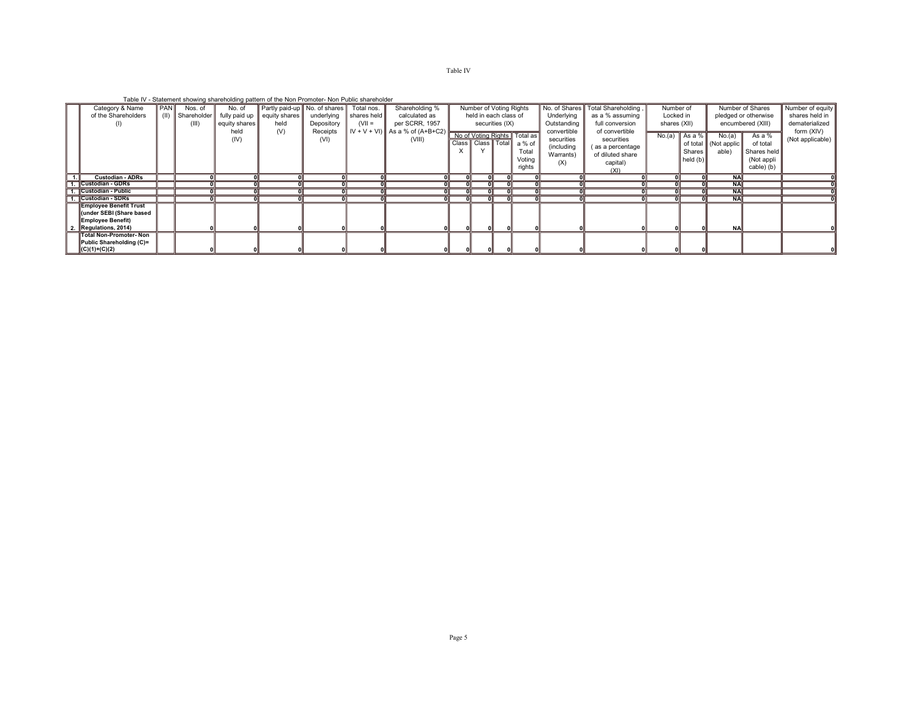## Table IV

Table IV - Statement showing shareholding pattern of the Non Promoter- Non Public shareholder

| Category & Name                                           | PAN | Nos. of            | No. of             | report calculation choicing characteristing pattern or the rich richmotor richmotorcharacteristic<br>Partly paid-up No. of shares |                  | Total nos.    | Shareholding %                 |   | Number of Voting Rights |                 |                                                                     | No. of Shares                                               | Total Shareholding,                                                                      | Number of    |                                            |                                               | Number of Shares                                                | Number of equity               |
|-----------------------------------------------------------|-----|--------------------|--------------------|-----------------------------------------------------------------------------------------------------------------------------------|------------------|---------------|--------------------------------|---|-------------------------|-----------------|---------------------------------------------------------------------|-------------------------------------------------------------|------------------------------------------------------------------------------------------|--------------|--------------------------------------------|-----------------------------------------------|-----------------------------------------------------------------|--------------------------------|
| of the Shareholders                                       |     | $(II)$ Shareholder | fully paid up $\ $ | equity shares                                                                                                                     | underlying       | shares held   | calculated as                  |   | held in each class of   |                 |                                                                     | Underlying                                                  | as a % assuming                                                                          | Locked in    |                                            |                                               | pledged or otherwise                                            | shares held in                 |
|                                                           |     | (III)              | equity shares      | held                                                                                                                              | Depository       | $(VII =$      | per SCRR, 1957                 |   |                         | securities (IX) |                                                                     | Outstanding                                                 | full conversion                                                                          | shares (XII) |                                            |                                               | encumbered (XIII)                                               | dematerialized                 |
|                                                           |     |                    | held<br>(IV)       | (V)                                                                                                                               | Receipts<br>(VI) | $IV + V + VI$ | As a % of $(A+B+C2)$<br>(VIII) | X | Class   Class   Total   |                 | No of Voting Rights Total as<br>a % of<br>Total<br>Voting<br>rights | convertible<br>securities<br>(including<br>Warrants)<br>(X) | of convertible<br>securities<br>(as a percentage<br>of diluted share<br>capital)<br>(XI) |              | $No.(a)$ As a %<br>Shares<br>$\ $ held (b) | No.(a)<br>of total    (Not applic   <br>able) | As a $%$<br>of total<br>Shares held<br>(Not appli<br>cable) (b) | form (XIV)<br>(Not applicable) |
| Custodian - ADRs                                          |     |                    |                    |                                                                                                                                   |                  |               |                                |   |                         |                 |                                                                     |                                                             |                                                                                          |              |                                            | <b>NA</b>                                     |                                                                 |                                |
| Custodian - GDRs                                          |     |                    |                    |                                                                                                                                   |                  |               |                                |   |                         |                 |                                                                     |                                                             |                                                                                          |              |                                            |                                               |                                                                 |                                |
| Custodian - Public                                        |     |                    |                    |                                                                                                                                   |                  |               |                                |   |                         |                 |                                                                     |                                                             |                                                                                          | οI           |                                            | <b>NAI</b>                                    |                                                                 |                                |
| 1. Custodian - SDRs                                       |     |                    |                    |                                                                                                                                   |                  |               |                                |   |                         |                 |                                                                     |                                                             |                                                                                          | ΟII          |                                            | <b>NAI</b>                                    |                                                                 |                                |
| <b>Employee Benefit Trust</b><br>under SEBI (Share based) |     |                    |                    |                                                                                                                                   |                  |               |                                |   |                         |                 |                                                                     |                                                             |                                                                                          |              |                                            |                                               |                                                                 |                                |
| Employee Benefit)                                         |     |                    |                    |                                                                                                                                   |                  |               |                                |   |                         |                 |                                                                     |                                                             |                                                                                          |              |                                            |                                               |                                                                 |                                |
| Regulations, 2014)                                        |     |                    |                    |                                                                                                                                   |                  |               |                                |   |                         |                 |                                                                     |                                                             |                                                                                          |              |                                            |                                               |                                                                 |                                |
| Total Non-Promoter- Non                                   |     |                    |                    |                                                                                                                                   |                  |               |                                |   |                         |                 |                                                                     |                                                             |                                                                                          |              |                                            |                                               |                                                                 |                                |
| Public Shareholding (C)=                                  |     |                    |                    |                                                                                                                                   |                  |               |                                |   |                         |                 |                                                                     |                                                             |                                                                                          |              |                                            |                                               |                                                                 |                                |
| $\ (C)(1)+(C)(2)\ $                                       |     |                    |                    |                                                                                                                                   |                  |               |                                |   |                         |                 |                                                                     |                                                             |                                                                                          |              |                                            |                                               |                                                                 |                                |